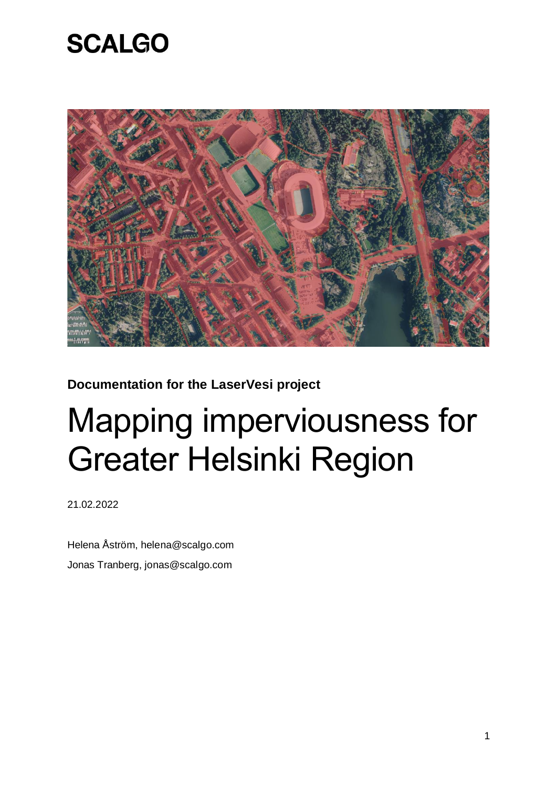

**Documentation for the LaserVesi project**

# Mapping imperviousness for Greater Helsinki Region

21.02.2022

Helena Åström, helena@scalgo.com Jonas Tranberg, jonas@scalgo.com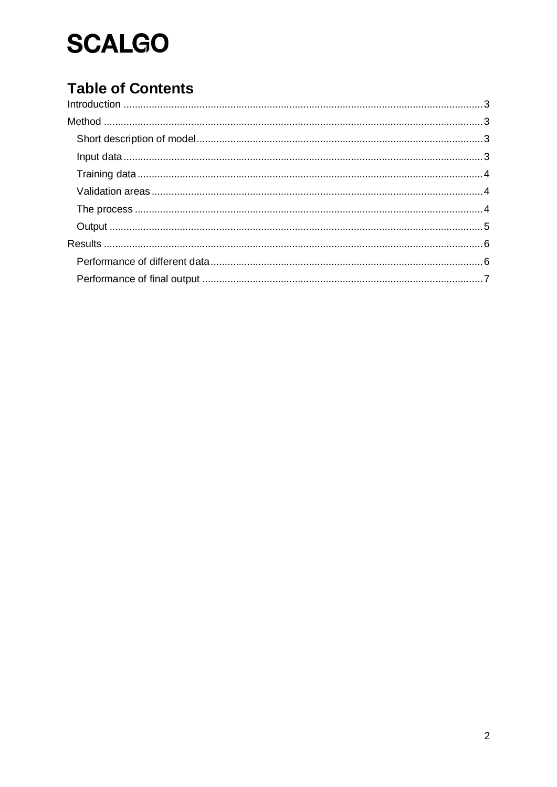### **Table of Contents**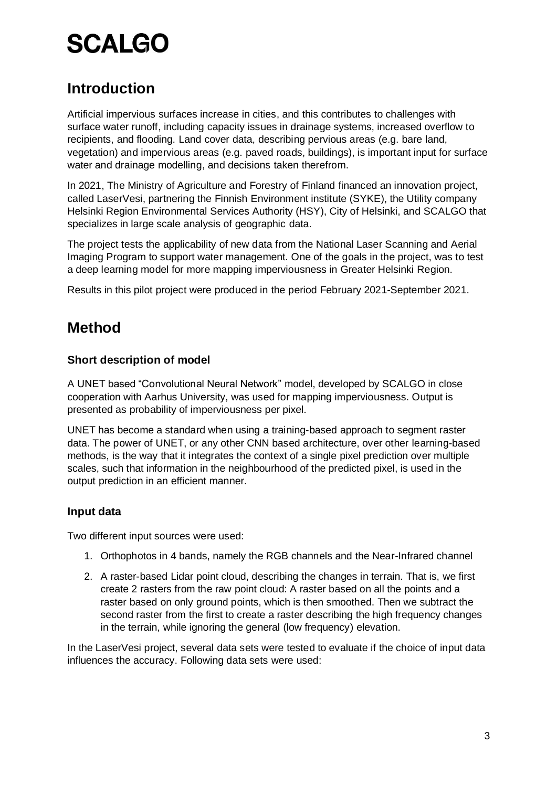### <span id="page-2-0"></span>**Introduction**

Artificial impervious surfaces increase in cities, and this contributes to challenges with surface water runoff, including capacity issues in drainage systems, increased overflow to recipients, and flooding. Land cover data, describing pervious areas (e.g. bare land, vegetation) and impervious areas (e.g. paved roads, buildings), is important input for surface water and drainage modelling, and decisions taken therefrom.

In 2021, The Ministry of Agriculture and Forestry of Finland financed an innovation project, called LaserVesi, partnering the Finnish Environment institute (SYKE), the Utility company Helsinki Region Environmental Services Authority (HSY), City of Helsinki, and SCALGO that specializes in large scale analysis of geographic data.

The project tests the applicability of new data from the National Laser Scanning and Aerial Imaging Program to support water management. One of the goals in the project, was to test a deep learning model for more mapping imperviousness in Greater Helsinki Region.

Results in this pilot project were produced in the period February 2021-September 2021.

### <span id="page-2-1"></span>**Method**

#### <span id="page-2-2"></span>**Short description of model**

A UNET based "Convolutional Neural Network" model, developed by SCALGO in close cooperation with Aarhus University, was used for mapping imperviousness. Output is presented as probability of imperviousness per pixel.

UNET has become a standard when using a training-based approach to segment raster data. The power of UNET, or any other CNN based architecture, over other learning-based methods, is the way that it integrates the context of a single pixel prediction over multiple scales, such that information in the neighbourhood of the predicted pixel, is used in the output prediction in an efficient manner.

#### <span id="page-2-3"></span>**Input data**

Two different input sources were used:

- 1. Orthophotos in 4 bands, namely the RGB channels and the Near-Infrared channel
- 2. A raster-based Lidar point cloud, describing the changes in terrain. That is, we first create 2 rasters from the raw point cloud: A raster based on all the points and a raster based on only ground points, which is then smoothed. Then we subtract the second raster from the first to create a raster describing the high frequency changes in the terrain, while ignoring the general (low frequency) elevation.

In the LaserVesi project, several data sets were tested to evaluate if the choice of input data influences the accuracy. Following data sets were used: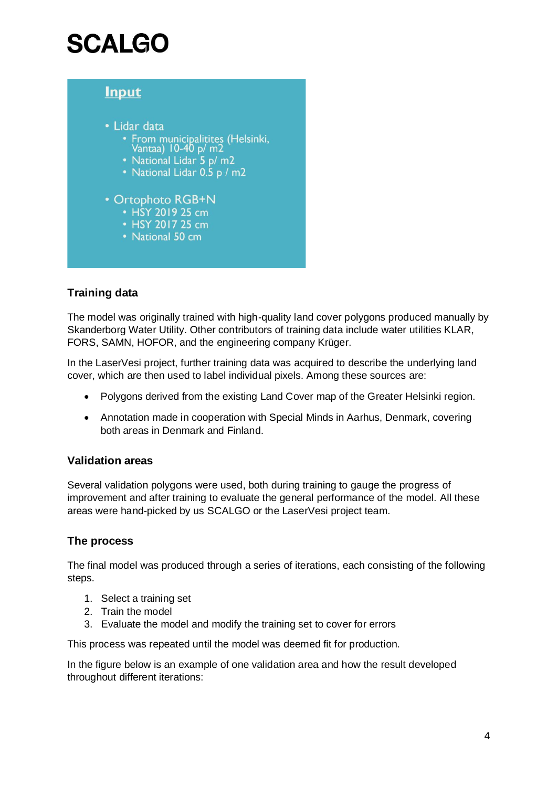

#### <span id="page-3-0"></span>**Training data**

The model was originally trained with high-quality land cover polygons produced manually by Skanderborg Water Utility. Other contributors of training data include water utilities KLAR, FORS, SAMN, HOFOR, and the engineering company Krüger.

In the LaserVesi project, further training data was acquired to describe the underlying land cover, which are then used to label individual pixels. Among these sources are:

- Polygons derived from the existing Land Cover map of the Greater Helsinki region.
- Annotation made in cooperation with Special Minds in Aarhus, Denmark, covering both areas in Denmark and Finland.

#### <span id="page-3-1"></span>**Validation areas**

Several validation polygons were used, both during training to gauge the progress of improvement and after training to evaluate the general performance of the model. All these areas were hand-picked by us SCALGO or the LaserVesi project team.

#### <span id="page-3-2"></span>**The process**

The final model was produced through a series of iterations, each consisting of the following steps.

- 1. Select a training set
- 2. Train the model
- 3. Evaluate the model and modify the training set to cover for errors

This process was repeated until the model was deemed fit for production.

In the figure below is an example of one validation area and how the result developed throughout different iterations: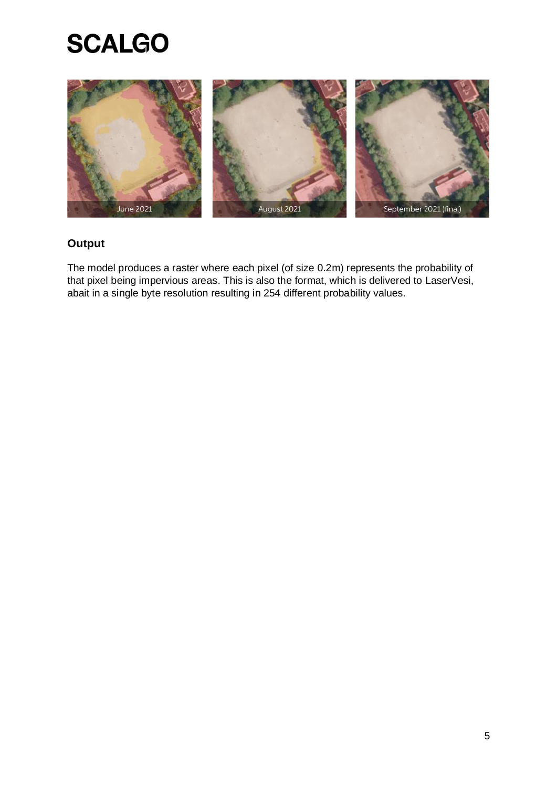

#### <span id="page-4-0"></span>**Output**

The model produces a raster where each pixel (of size 0.2m) represents the probability of that pixel being impervious areas. This is also the format, which is delivered to LaserVesi, abait in a single byte resolution resulting in 254 different probability values.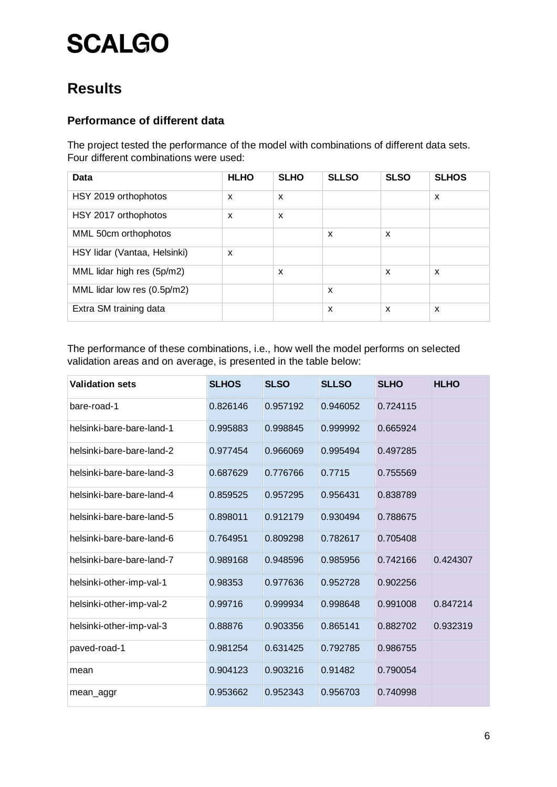### <span id="page-5-0"></span>**Results**

#### <span id="page-5-1"></span>**Performance of different data**

The project tested the performance of the model with combinations of different data sets. Four different combinations were used:

| Data                         | <b>HLHO</b> | <b>SLHO</b>               | <b>SLLSO</b>              | <b>SLSO</b> | <b>SLHOS</b> |
|------------------------------|-------------|---------------------------|---------------------------|-------------|--------------|
| HSY 2019 orthophotos         | X           | $\boldsymbol{\mathsf{x}}$ |                           |             | X            |
| HSY 2017 orthophotos         | X           | $\boldsymbol{\mathsf{x}}$ |                           |             |              |
| MML 50cm orthophotos         |             |                           | X                         | X           |              |
| HSY lidar (Vantaa, Helsinki) | X           |                           |                           |             |              |
| MML lidar high res (5p/m2)   |             | $\boldsymbol{\mathsf{x}}$ |                           | X           | X            |
| MML lidar low res (0.5p/m2)  |             |                           | $\boldsymbol{\mathsf{x}}$ |             |              |
| Extra SM training data       |             |                           | $\boldsymbol{\mathsf{x}}$ | X           | X            |

The performance of these combinations, i.e., how well the model performs on selected validation areas and on average, is presented in the table below:

| <b>Validation sets</b>    | <b>SLHOS</b> | <b>SLSO</b> | <b>SLLSO</b> | <b>SLHO</b> | <b>HLHO</b> |
|---------------------------|--------------|-------------|--------------|-------------|-------------|
| bare-road-1               | 0.826146     | 0.957192    | 0.946052     | 0.724115    |             |
| helsinki-bare-bare-land-1 | 0.995883     | 0.998845    | 0.999992     | 0.665924    |             |
| helsinki-bare-bare-land-2 | 0.977454     | 0.966069    | 0.995494     | 0.497285    |             |
| helsinki-bare-bare-land-3 | 0.687629     | 0.776766    | 0.7715       | 0.755569    |             |
| helsinki-bare-bare-land-4 | 0.859525     | 0.957295    | 0.956431     | 0.838789    |             |
| helsinki-bare-bare-land-5 | 0.898011     | 0.912179    | 0.930494     | 0.788675    |             |
| helsinki-bare-bare-land-6 | 0.764951     | 0.809298    | 0.782617     | 0.705408    |             |
| helsinki-bare-bare-land-7 | 0.989168     | 0.948596    | 0.985956     | 0.742166    | 0.424307    |
| helsinki-other-imp-val-1  | 0.98353      | 0.977636    | 0.952728     | 0.902256    |             |
| helsinki-other-imp-val-2  | 0.99716      | 0.999934    | 0.998648     | 0.991008    | 0.847214    |
| helsinki-other-imp-val-3  | 0.88876      | 0.903356    | 0.865141     | 0.882702    | 0.932319    |
| paved-road-1              | 0.981254     | 0.631425    | 0.792785     | 0.986755    |             |
| mean                      | 0.904123     | 0.903216    | 0.91482      | 0.790054    |             |
| mean_aggr                 | 0.953662     | 0.952343    | 0.956703     | 0.740998    |             |